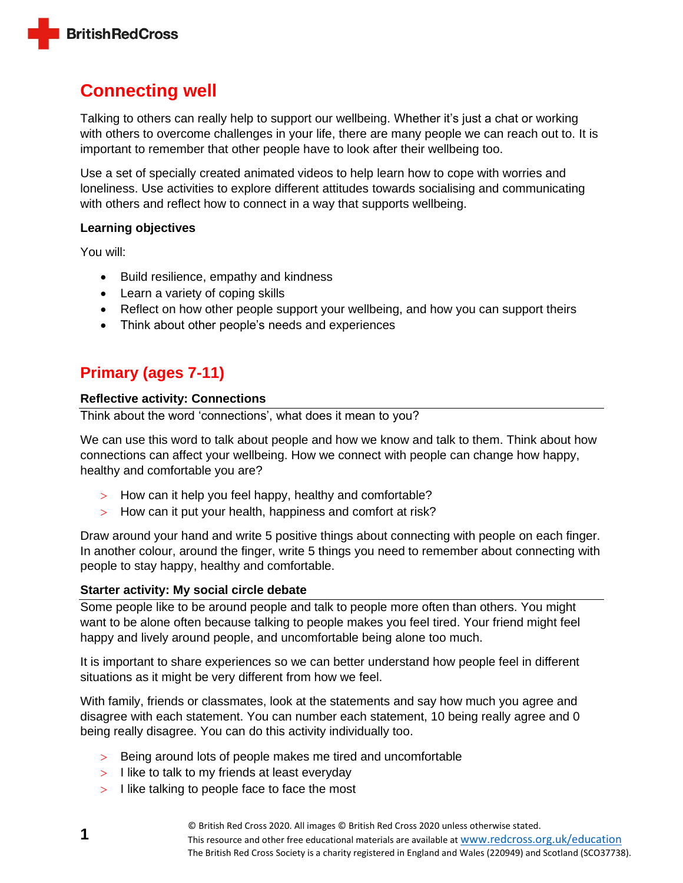

# **Connecting well**

Talking to others can really help to support our wellbeing. Whether it's just a chat or working with others to overcome challenges in your life, there are many people we can reach out to. It is important to remember that other people have to look after their wellbeing too.

Use a set of specially created animated videos to help learn how to cope with worries and loneliness. Use activities to explore different attitudes towards socialising and communicating with others and reflect how to connect in a way that supports wellbeing.

### **Learning objectives**

You will:

- Build resilience, empathy and kindness
- Learn a variety of coping skills
- Reflect on how other people support your wellbeing, and how you can support theirs
- Think about other people's needs and experiences

## **Primary (ages 7-11)**

### **Reflective activity: Connections**

Think about the word 'connections', what does it mean to you?

We can use this word to talk about people and how we know and talk to them. Think about how connections can affect your wellbeing. How we connect with people can change how happy, healthy and comfortable you are?

- > How can it help you feel happy, healthy and comfortable?
- $>$  How can it put your health, happiness and comfort at risk?

Draw around your hand and write 5 positive things about connecting with people on each finger. In another colour, around the finger, write 5 things you need to remember about connecting with people to stay happy, healthy and comfortable.

#### **Starter activity: My social circle debate**

Some people like to be around people and talk to people more often than others. You might want to be alone often because talking to people makes you feel tired. Your friend might feel happy and lively around people, and uncomfortable being alone too much.

It is important to share experiences so we can better understand how people feel in different situations as it might be very different from how we feel.

With family, friends or classmates, look at the statements and say how much you agree and disagree with each statement. You can number each statement, 10 being really agree and 0 being really disagree. You can do this activity individually too.

- > Being around lots of people makes me tired and uncomfortable
- $>$  I like to talk to my friends at least everyday
- $>$  I like talking to people face to face the most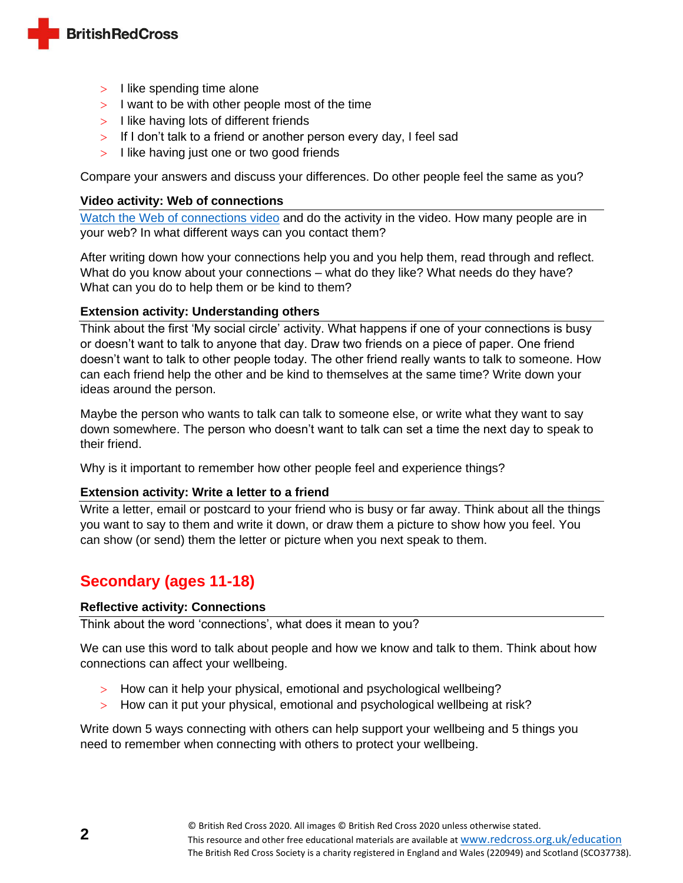

- $>$  I like spending time alone
- $>$  I want to be with other people most of the time
- $>$  I like having lots of different friends
- $>$  If I don't talk to a friend or another person every day, I feel sad
- $>$  I like having just one or two good friends

Compare your answers and discuss your differences. Do other people feel the same as you?

#### **Video activity: Web of connections**

[Watch the Web of connections video](https://www.youtube.com/watch?v=6mc0S7x91Bs) and do the activity in the video. How many people are in your web? In what different ways can you contact them?

After writing down how your connections help you and you help them, read through and reflect. What do you know about your connections – what do they like? What needs do they have? What can you do to help them or be kind to them?

### **Extension activity: Understanding others**

Think about the first 'My social circle' activity. What happens if one of your connections is busy or doesn't want to talk to anyone that day. Draw two friends on a piece of paper. One friend doesn't want to talk to other people today. The other friend really wants to talk to someone. How can each friend help the other and be kind to themselves at the same time? Write down your ideas around the person.

Maybe the person who wants to talk can talk to someone else, or write what they want to say down somewhere. The person who doesn't want to talk can set a time the next day to speak to their friend.

Why is it important to remember how other people feel and experience things?

## **Extension activity: Write a letter to a friend**

Write a letter, email or postcard to your friend who is busy or far away. Think about all the things you want to say to them and write it down, or draw them a picture to show how you feel. You can show (or send) them the letter or picture when you next speak to them.

## **Secondary (ages 11-18)**

## **Reflective activity: Connections**

Think about the word 'connections', what does it mean to you?

We can use this word to talk about people and how we know and talk to them. Think about how connections can affect your wellbeing.

- > How can it help your physical, emotional and psychological wellbeing?
- > How can it put your physical, emotional and psychological wellbeing at risk?

Write down 5 ways connecting with others can help support your wellbeing and 5 things you need to remember when connecting with others to protect your wellbeing.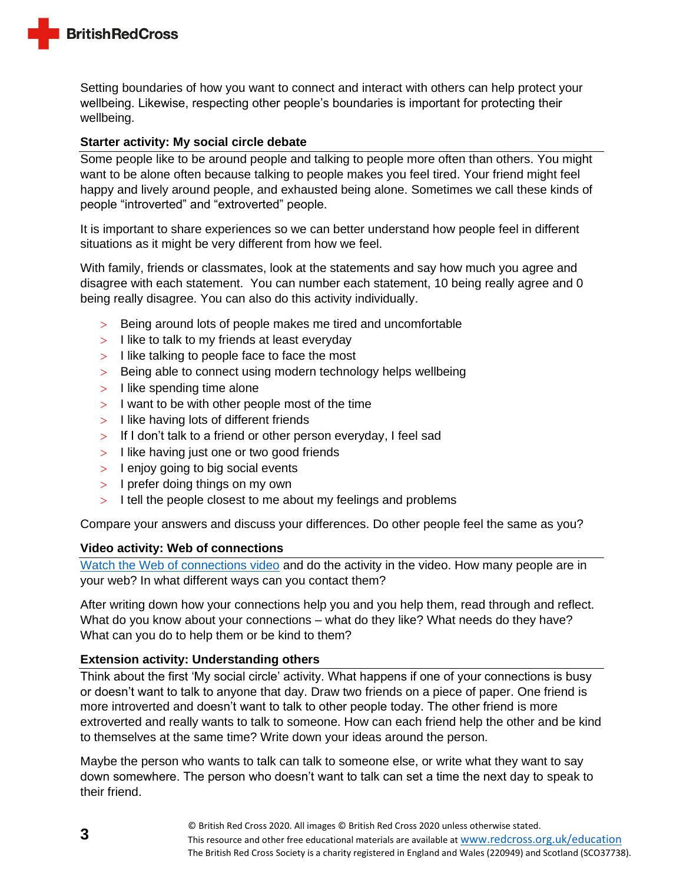

Setting boundaries of how you want to connect and interact with others can help protect your wellbeing. Likewise, respecting other people's boundaries is important for protecting their wellbeing.

### **Starter activity: My social circle debate**

Some people like to be around people and talking to people more often than others. You might want to be alone often because talking to people makes you feel tired. Your friend might feel happy and lively around people, and exhausted being alone. Sometimes we call these kinds of people "introverted" and "extroverted" people.

It is important to share experiences so we can better understand how people feel in different situations as it might be very different from how we feel.

With family, friends or classmates, look at the statements and say how much you agree and disagree with each statement. You can number each statement, 10 being really agree and 0 being really disagree. You can also do this activity individually.

- $>$  Being around lots of people makes me tired and uncomfortable
- $>$  I like to talk to my friends at least everyday
- $>$  I like talking to people face to face the most
- > Being able to connect using modern technology helps wellbeing
- $>$  I like spending time alone
- $>$  I want to be with other people most of the time
- $>$  I like having lots of different friends
- $>$  If I don't talk to a friend or other person everyday, I feel sad
- $>$  I like having just one or two good friends
- $>$  I enjoy going to big social events
- $>$  I prefer doing things on my own
- $>$  I tell the people closest to me about my feelings and problems

Compare your answers and discuss your differences. Do other people feel the same as you?

#### **Video activity: Web of connections**

[Watch the Web of connections video](https://www.youtube.com/watch?v=6mc0S7x91Bs) and do the activity in the video. How many people are in your web? In what different ways can you contact them?

After writing down how your connections help you and you help them, read through and reflect. What do you know about your connections – what do they like? What needs do they have? What can you do to help them or be kind to them?

## **Extension activity: Understanding others**

Think about the first 'My social circle' activity. What happens if one of your connections is busy or doesn't want to talk to anyone that day. Draw two friends on a piece of paper. One friend is more introverted and doesn't want to talk to other people today. The other friend is more extroverted and really wants to talk to someone. How can each friend help the other and be kind to themselves at the same time? Write down your ideas around the person.

Maybe the person who wants to talk can talk to someone else, or write what they want to say down somewhere. The person who doesn't want to talk can set a time the next day to speak to their friend.